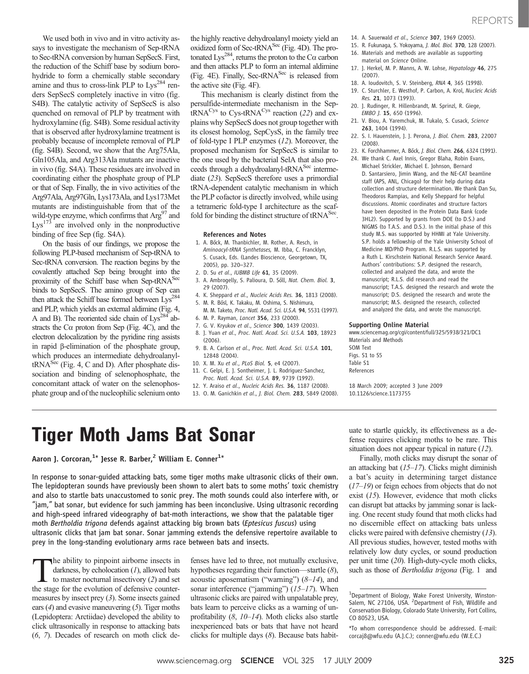We used both in vivo and in vitro activity assays to investigate the mechanism of Sep-tRNA to Sec-tRNA conversion by human SepSecS. First, the reduction of the Schiff base by sodium borohydride to form a chemically stable secondary amine and thus to cross-link PLP to  $Lys^{284}$  renders SepSecS completely inactive in vitro (fig. S4B). The catalytic activity of SepSecS is also quenched on removal of PLP by treatment with hydroxylamine (fig. S4B). Some residual activity that is observed after hydroxylamine treatment is probably because of incomplete removal of PLP (fig. S4B). Second, we show that the Arg75Ala, Gln105Ala, and Arg313Ala mutants are inactive in vivo (fig. S4A). These residues are involved in coordinating either the phosphate group of PLP or that of Sep. Finally, the in vivo activities of the Arg97Ala, Arg97Gln, Lys173Ala, and Lys173Met mutants are indistinguishable from that of the wild-type enzyme, which confirms that  $Arg<sup>97</sup>$  and  $Lys<sup>173</sup>$  are involved only in the nonproductive binding of free Sep (fig. S4A).

On the basis of our findings, we propose the following PLP-based mechanism of Sep-tRNA to Sec-tRNA conversion. The reaction begins by the covalently attached Sep being brought into the proximity of the Schiff base when Sep-tRNA<sup>Sec</sup> binds to SepSecS. The amino group of Sep can then attack the Schiff base formed between  $Lys^{284}$ and PLP, which yields an external aldimine (Fig. 4, A and B). The reoriented side chain of  $Lys^{284}$  abstracts the  $Ca$  proton from Sep (Fig. 4C), and the electron delocalization by the pyridine ring assists in rapid  $\beta$ -elimination of the phosphate group, which produces an intermediate dehydroalanyl $tRNA<sup>Sec</sup>$  (Fig. 4, C and D). After phosphate dissociation and binding of selenophosphate, the concomitant attack of water on the selenophosphate group and of the nucleophilic selenium onto

the highly reactive dehydroalanyl moiety yield an oxidized form of Sec-tRNA<sup>Sec</sup> (Fig. 4D). The protonated Lys<sup>284</sup>, returns the proton to the C $\alpha$  carbon and then attacks PLP to form an internal aldimine (Fig. 4E). Finally, Sec-tRNA<sup>Sec</sup> is released from the active site (Fig. 4F).

This mechanism is clearly distinct from the persulfide-intermediate mechanism in the Sep $tRNA<sup>Cys</sup>$  to Cys-t $RNA<sup>Cys</sup>$  reaction (22) and explains why SepSecS does not group together with its closest homolog, SepCysS, in the family tree of fold-type I PLP enzymes (12). Moreover, the proposed mechanism for SepSecS is similar to the one used by the bacterial SelA that also proceeds through a dehydroalanyl-tRNA<sup>Sec</sup> intermediate (23). SepSecS therefore uses a primordial tRNA-dependent catalytic mechanism in which the PLP cofactor is directly involved, while using a tetrameric fold-type I architecture as the scaffold for binding the distinct structure of  $tRNA<sup>Sec</sup>$ .

# References and Notes

- 1. A. Böck, M. Thanbichler, M. Rother, A. Resch, in Aminoacyl-tRNA Synthetases, M. Ibba, C. Francklyn, S. Cusack, Eds. (Landes Bioscience, Georgetown, TX, 2005), pp. 320–327.
- 2. D. Su et al., IUBMB Life 61, 35 (2009).
- 3. A. Ambrogelly, S. Palioura, D. Söll, Nat. Chem. Biol. 3, 29 (2007).
- 4. K. Sheppard et al., Nucleic Acids Res. 36, 1813 (2008).
- 5. M. R. Bösl, K. Takaku, M. Oshima, S. Nishimura, M. M. Taketo, Proc. Natl. Acad. Sci. U.S.A. 94, 5531 (1997).
- 6. M. P. Rayman, Lancet 356, 233 (2000).
- 7. G. V. Kryukov et al., Science 300, 1439 (2003).
- 8. J. Yuan et al., Proc. Natl. Acad. Sci. U.S.A. 103, 18923 (2006).
- 9. B. A. Carlson et al., Proc. Natl. Acad. Sci. U.S.A. 101, 12848 (2004).
- 10. X. M. Xu et al., PLoS Biol. 5, e4 (2007).
- 11. C. Gelpi, E. J. Sontheimer, J. L. Rodriguez-Sanchez, Proc. Natl. Acad. Sci. U.S.A. 89, 9739 (1992).
- 12. Y. Araiso et al., Nucleic Acids Res. 36, 1187 (2008).
- 13. O. M. Ganichkin et al., J. Biol. Chem. 283, 5849 (2008).

14. A. Sauerwald et al., Science 307, 1969 (2005).

- 15. R. Fukunaga, S. Yokoyama, J. Mol. Biol. 370, 128 (2007). 16. Materials and methods are available as supporting
- material on Science Online.
- 17. J. Herkel, M. P. Manns, A. W. Lohse, Hepatology 46, 275 (2007).
- 18. A. Ioudovitch, S. V. Steinberg, RNA 4, 365 (1998).
	- 19. C. Sturchler, E. Westhof, P. Carbon, A. Krol, Nucleic Acids Res. 21, 1073 (1993).
	- 20. J. Rudinger, R. Hillenbrandt, M. Sprinzl, R. Giege, EMBO J. 15, 650 (1996).
	- 21. V. Biou, A. Yaremchuk, M. Tukalo, S. Cusack, Science 263, 1404 (1994).
	- 22. S. I. Hauenstein, J. J. Perona, J. Biol. Chem. 283, 22007 (2008).
	- 23. K. Forchhammer, A. Böck, J. Biol. Chem. 266, 6324 (1991). 24. We thank C. Axel Innis, Gregor Blaha, Robin Evans,
	- Michael Strickler, Michael E. Johnson, Bernard D. Santarsiero, Jimin Wang, and the NE-CAT beamline staff (APS, ANL, Chicago) for their help during data collection and structure determination. We thank Dan Su, Theodoros Rampias, and Kelly Sheppard for helpful discussions. Atomic coordinates and structure factors have been deposited in the Protein Data Bank (code 3HL2). Supported by grants from DOE (to D.S.) and NIGMS (to T.A.S. and D.S.). In the initial phase of this study M.S. was supported by HHMI at Yale University. S.P. holds a fellowship of the Yale University School of Medicine MD/PhD Program. R.L.S. was supported by a Ruth L. Kirschstein National Research Service Award. Authors' contributions: S.P. designed the research, collected and analyzed the data, and wrote the manuscript; R.L.S. did research and read the manuscript; T.A.S. designed the research and wrote the manuscript; D.S. designed the research and wrote the manuscript; M.S. designed the research, collected and analyzed the data, and wrote the manuscript.

# Supporting Online Material

www.sciencemag.org/cgi/content/full/325/5938/321/DC1 Materials and Methods SOM Text Figs. S1 to S5

Table S1 References

18 March 2009; accepted 3 June 2009 10.1126/science.1173755

 $T = 3$  and  $T = 3$  and  $T = 3$  and  $T = 3$  and  $T = 3$  and  $T = 3$  and  $T = 3$  and  $T = 3$  and  $T = 3$  and  $T = 3$  and  $T = 3$  and  $T = 3$  and  $T = 3$  and  $T = 3$  and  $T = 3$  and  $T = 3$  and  $T = 3$  and  $T = 3$  and  $T = 3$  and  $T = 3$  and

In response to sonar-guided attacking bats, some tiger moths make ultrasonic clicks of their own. The lepidopteran sounds have previously been shown to alert bats to some moths' toxic chemistry and also to startle bats unaccustomed to sonic prey. The moth sounds could also interfere with, or "jam," bat sonar, but evidence for such jamming has been inconclusive. Using ultrasonic recording and high-speed infrared videography of bat-moth interactions, we show that the palatable tiger moth Bertholdia trigona defends against attacking big brown bats (Eptesicus fuscus) using ultrasonic clicks that jam bat sonar. Sonar jamming extends the defensive repertoire available to prey in the long-standing evolutionary arms race between bats and insects.

The ability to pinpoint airborne insects in darkness, by echolocation  $(1)$ , allowed bats to master nocturnal insectivory (2) and set the stage for the evolution of defensive countermeasures by insect prey (3). Some insects gained ears  $(4)$  and evasive maneuvering  $(5)$ . Tiger moths (Lepidoptera: Arctiidae) developed the ability to click ultrasonically in response to attacking bats (6, 7). Decades of research on moth click defenses have led to three, not mutually exclusive, hypotheses regarding their function—startle (8), acoustic aposematism ("warning")  $(8-14)$ , and sonar interference ("jamming")  $(15-17)$ . When ultrasonic clicks are paired with unpalatable prey, bats learn to perceive clicks as a warning of unprofitability  $(8, 10-14)$ . Moth clicks also startle inexperienced bats or bats that have not heard clicks for multiple days  $(8)$ . Because bats habituate to startle quickly, its effectiveness as a defense requires clicking moths to be rare. This situation does not appear typical in nature (12).

Finally, moth clicks may disrupt the sonar of an attacking bat  $(15–17)$ . Clicks might diminish a bat's acuity in determining target distance (17–19) or feign echoes from objects that do not exist (15). However, evidence that moth clicks can disrupt bat attacks by jamming sonar is lacking. One recent study found that moth clicks had no discernible effect on attacking bats unless clicks were paired with defensive chemistry (13). All previous studies, however, tested moths with relatively low duty cycles, or sound production per unit time (20). High-duty-cycle moth clicks, such as those of *Bertholdia trigona* (Fig. 1 and

<sup>&</sup>lt;sup>1</sup>Department of Biology, Wake Forest University, Winston-Salem, NC 27106, USA. <sup>2</sup>Department of Fish, Wildlife and Conservation Biology, Colorado State University, Fort Collins, CO 80523, USA.

<sup>\*</sup>To whom correspondence should be addressed. E-mail: corcaj8@wfu.edu (A.J.C.); conner@wfu.edu (W.E.C.)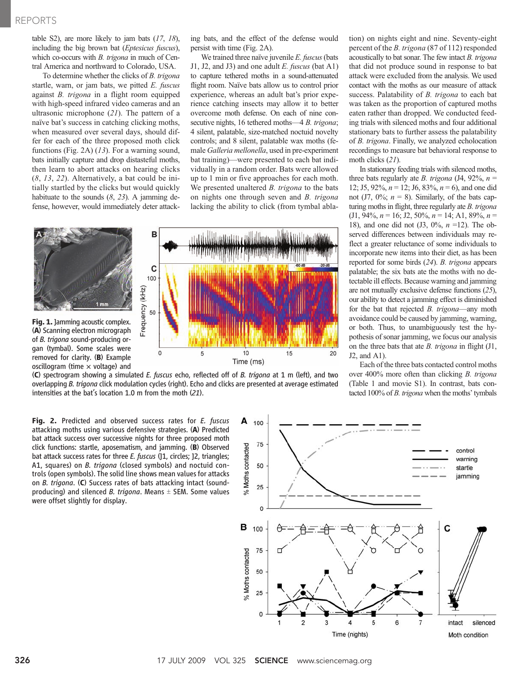table S2), are more likely to jam bats  $(17, 18)$ , including the big brown bat (Eptesicus fuscus), which co-occurs with *B. trigona* in much of Central America and northward to Colorado, USA.

To determine whether the clicks of B. trigona startle, warn, or jam bats, we pitted E. fuscus against B. trigona in a flight room equipped with high-speed infrared video cameras and an ultrasonic microphone (21). The pattern of a naïve bat's success in catching clicking moths, when measured over several days, should differ for each of the three proposed moth click functions (Fig. 2A) (13). For a warning sound, bats initially capture and drop distasteful moths, then learn to abort attacks on hearing clicks (8, 13, 22). Alternatively, a bat could be initially startled by the clicks but would quickly habituate to the sounds  $(8, 23)$ . A jamming defense, however, would immediately deter attacking bats, and the effect of the defense would persist with time (Fig. 2A).

We trained three naïve juvenile  $E$ . fuscus (bats J1, J2, and J3) and one adult  $E$ . fuscus (bat A1) to capture tethered moths in a sound-attenuated flight room. Naïve bats allow us to control prior experience, whereas an adult bat's prior experience catching insects may allow it to better overcome moth defense. On each of nine consecutive nights, 16 tethered moths—4 B. trigona; 4 silent, palatable, size-matched noctuid novelty controls; and 8 silent, palatable wax moths (female Galleria mellonella, used in pre-experiment bat training)—were presented to each bat individually in a random order. Bats were allowed up to 1 min or five approaches for each moth. We presented unaltered *B. trigona* to the bats on nights one through seven and *B. trigona* lacking the ability to click (from tymbal abla-



(C) spectrogram showing a simulated E. fuscus echo, reflected off of B. trigona at 1 m (left), and two overlapping B. trigona click modulation cycles (right). Echo and clicks are presented at average estimated intensities at the bat's location 1.0 m from the moth (21).

tion) on nights eight and nine. Seventy-eight percent of the B. trigona (87 of 112) responded acoustically to bat sonar. The few intact B. trigona that did not produce sound in response to bat attack were excluded from the analysis. We used contact with the moths as our measure of attack success. Palatability of B. trigona to each bat was taken as the proportion of captured moths eaten rather than dropped. We conducted feeding trials with silenced moths and four additional stationary bats to further assess the palatability of B. trigona. Finally, we analyzed echolocation recordings to measure bat behavioral response to moth clicks (21).

In stationary feeding trials with silenced moths, three bats regularly ate *B. trigona* (J4, 92%,  $n =$ 12; J5, 92%,  $n = 12$ ; J6, 83%,  $n = 6$ ), and one did not (J7,  $0\%$ ;  $n = 8$ ). Similarly, of the bats capturing moths in flight, three regularly ate B. trigona  $($ J $1, 94\%$ ,  $n = 16$ ; J $2, 50\%$ ,  $n = 14$ ; A $1, 89\%$ ,  $n =$ 18), and one did not  $(3, 0\%, n = 12)$ . The observed differences between individuals may reflect a greater reluctance of some individuals to incorporate new items into their diet, as has been reported for some birds (24). B. trigona appears palatable; the six bats ate the moths with no detectable ill effects. Because warning and jamming are not mutually exclusive defense functions (25), our ability to detect a jamming effect is diminished for the bat that rejected *B. trigona*—any moth avoidance could be caused by jamming, warning, or both. Thus, to unambiguously test the hypothesis of sonar jamming, we focus our analysis on the three bats that ate  $B$ . trigona in flight  $(J1)$ , J2, and A1).

Each of the three bats contacted control moths over 400% more often than clicking *B. trigona* (Table 1 and movie S1). In contrast, bats contacted 100% of B. trigona when the moths' tymbals

Fig. 2. Predicted and observed success rates for E. fuscus attacking moths using various defensive strategies. (A) Predicted bat attack success over successive nights for three proposed moth click functions: startle, aposematism, and jamming. (B) Observed bat attack success rates for three E. fuscus (11, circles; 12, triangles; A1, squares) on *B. trigona* (closed symbols) and noctuid controls (open symbols). The solid line shows mean values for attacks on B. trigona. (C) Success rates of bats attacking intact (soundproducing) and silenced *B. trigona*. Means  $\pm$  SEM. Some values were offset slightly for display.